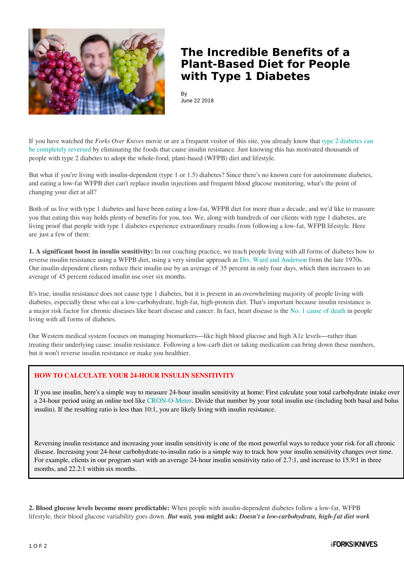

## **The Incredible Benefits of a Plant-Based Diet for People with Type 1 Diabetes**

By June 22 2018

If you have watched the *Forks Over Knives* movie or are a frequent visitor of this site, you already know that [type 2 diabetes can](https://www.forksoverknives.com/?s=%22type%202%20diabetes%22) [be completely reversed](https://www.forksoverknives.com/?s=%22type%202%20diabetes%22) by eliminating the foods that cause insulin resistance. Just knowing this has motivated thousands of people with type 2 diabetes to adopt the whole-food, plant-based (WFPB) diet and lifestyle.

But what if you're living with insulin-dependent (type 1 or 1.5) diabetes? Since there's no known cure for autoimmune diabetes, and eating a low-fat WFPB diet can't replace insulin injections and frequent blood glucose monitoring, what's the point of changing your diet at all?

Both of us live with type 1 diabetes and have been eating a low-fat, WFPB diet for more than a decade, and we'd like to reassure you that eating this way holds plenty of benefits for you, too. We, along with hundreds of our clients with type 1 diabetes, are living proof that people with type 1 diabetes experience extraordinary results from following a low-fat, WFPB lifestyle. Here are just a few of them:

**1. A significant boost in insulin sensitivity:** In our coaching practice, we teach people living with all forms of diabetes how to reverse insulin resistance using a WFPB diet, using a very similar approach as [Drs. Ward and Anderson](https://www.ncbi.nlm.nih.gov/pubmed/729433) from the late 1970s. Our insulin-dependent clients reduce their insulin use by an average of 35 percent in only four days, which then increases to an average of 45 percent reduced insulin use over six months.

It's true, insulin resistance does not cause type 1 diabetes, but it is present in an overwhelming majority of people living with diabetes, especially those who eat a low-carbohydrate, high-fat, high-protein diet. That's important because insulin resistance is a major risk factor for chronic diseases like heart disease and cancer. In fact, heart disease is the [No. 1 cause of death](http://care.diabetesjournals.org/content/15/9/1141) in people living with all forms of diabetes.

Our Western medical system focuses on managing biomarkers—like high blood glucose and high A1c levels—rather than treating their underlying cause: insulin resistance. Following a low-carb diet or taking medication can bring down these numbers, but it won't reverse insulin resistance or make you healthier.

## **HOW TO CALCULATE YOUR 24-HOUR INSULIN SENSITIVITY**

If you use insulin, here's a simple way to measure 24-hour insulin sensitivity at home: First calculate your total carbohydrate intake over a 24-hour period using an online tool like [CRON-O-Meter.](https://cronometer.com/) Divide that number by your total insulin use (including both basal and bolus insulin). If the resulting ratio is less than 10:1, you are likely living with insulin resistance.

Reversing insulin resistance and increasing your insulin sensitivity is one of the most powerful ways to reduce your risk for all chronic disease. Increasing your 24-hour carbohydrate-to-insulin ratio is a simple way to track how your insulin sensitivity changes over time. For example, clients in our program start with an average 24-hour insulin sensitivity ratio of 2.7:1, and increase to 15.9:1 in three months, and 22.2:1 within six months.

**2. Blood glucose levels become more predictable:** When people with insulin-dependent diabetes follow a low-fat, WFPB lifestyle, their blood glucose variability goes down. *But wait,* **you might ask:** *Doesn't a low-carbohydrate, high-fat diet work*